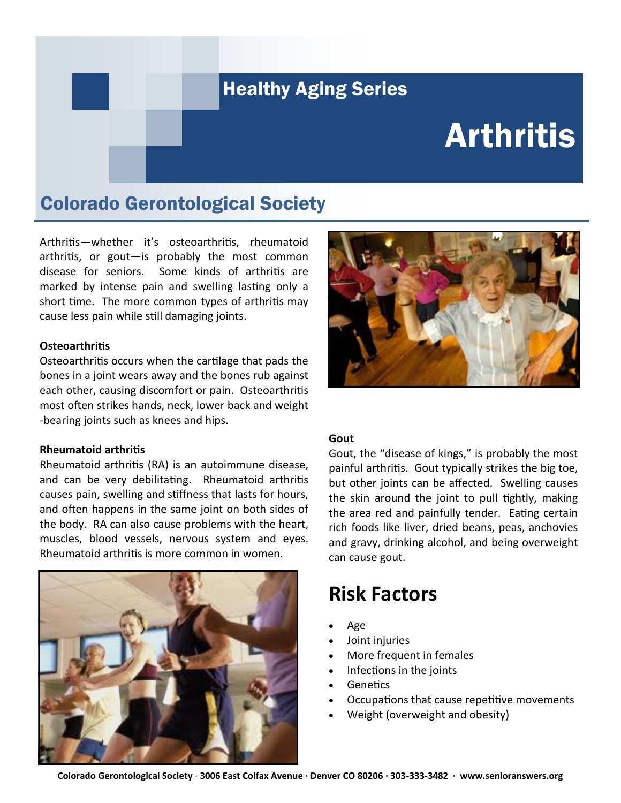#### Healthy Aging Series

# **Arthritis**

#### Colorado Gerontological Society

Arthritis—whether it's osteoarthritis, rheumatoid arthritis, or gout—is probably the most common disease for seniors. Some kinds of arthritis are marked by intense pain and swelling lasting only a short time. The more common types of arthritis may cause less pain while still damaging joints.

#### **Osteoarthritis**

Osteoarthritis occurs when the cartilage that pads the bones in a joint wears away and the bones rub against each other, causing discomfort or pain. Osteoarthritis most often strikes hands, neck, lower back and weight -bearing joints such as knees and hips.

#### **Rheumatoid arthritis**

Rheumatoid arthritis (RA) is an autoimmune disease, and can be very debilitating. Rheumatoid arthritis causes pain, swelling and stiffness that lasts for hours, and often happens in the same joint on both sides of the body. RA can also cause problems with the heart, muscles, blood vessels, nervous system and eyes. Rheumatoid arthritis is more common in women.





#### **Gout**

Gout, the "disease of kings," is probably the most painful arthritis. Gout typically strikes the big toe, but other joints can be affected. Swelling causes the skin around the joint to pull tightly, making the area red and painfully tender. Eating certain rich foods like liver, dried beans, peas, anchovies and gravy, drinking alcohol, and being overweight can cause gout.

#### **Risk Factors**

- Age
- Joint injuries
- More frequent in females
- Infections in the joints
- **Genetics**
- Occupations that cause repetitive movements
- Weight (overweight and obesity)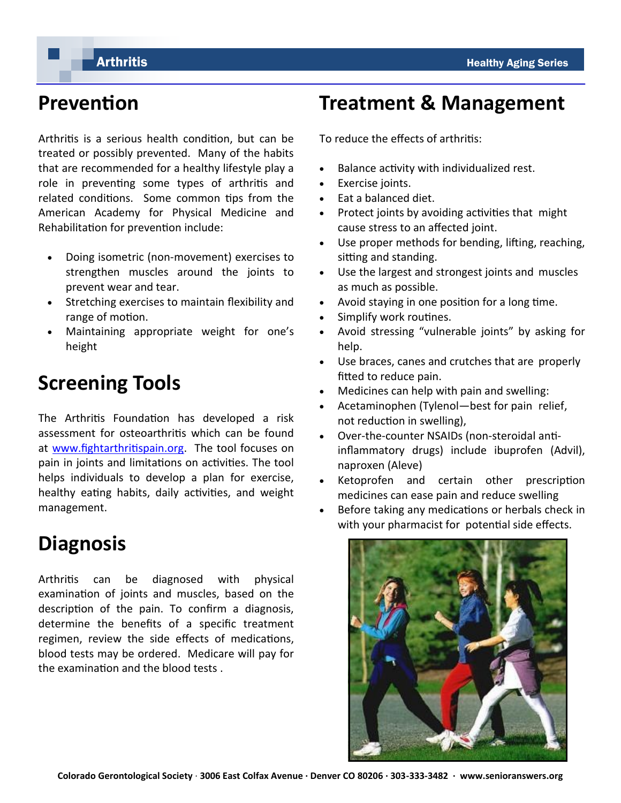## **Prevention**

Arthritis is a serious health condition, but can be treated or possibly prevented. Many of the habits that are recommended for a healthy lifestyle play a role in preventing some types of arthritis and related conditions. Some common tips from the American Academy for Physical Medicine and Rehabilitation for prevention include:

- Doing isometric (non-movement) exercises to strengthen muscles around the joints to prevent wear and tear.
- Stretching exercises to maintain flexibility and range of motion.
- Maintaining appropriate weight for one's height

## **Screening Tools**

The Arthritis Foundation has developed a risk assessment for osteoarthritis which can be found at [www.fightarthritispain.org.](http://www.fightarthritispain.org) The tool focuses on pain in joints and limitations on activities. The tool helps individuals to develop a plan for exercise, healthy eating habits, daily activities, and weight management.

## **Diagnosis**

Arthritis can be diagnosed with physical examination of joints and muscles, based on the description of the pain. To confirm a diagnosis, determine the benefits of a specific treatment regimen, review the side effects of medications, blood tests may be ordered. Medicare will pay for the examination and the blood tests .

#### **Treatment & Management**

To reduce the effects of arthritis:

- Balance activity with individualized rest.
- Exercise joints.
- Eat a balanced diet.
- Protect joints by avoiding activities that might cause stress to an affected joint.
- Use proper methods for bending, lifting, reaching, sitting and standing.
- Use the largest and strongest joints and muscles as much as possible.
- Avoid staying in one position for a long time.
- Simplify work routines.
- Avoid stressing "vulnerable joints" by asking for help.
- Use braces, canes and crutches that are properly fitted to reduce pain.
- Medicines can help with pain and swelling:
- Acetaminophen (Tylenol—best for pain relief, not reduction in swelling),
- Over-the-counter NSAIDs (non-steroidal antiinflammatory drugs) include ibuprofen (Advil), naproxen (Aleve)
- Ketoprofen and certain other prescription medicines can ease pain and reduce swelling
- Before taking any medications or herbals check in with your pharmacist for potential side effects.